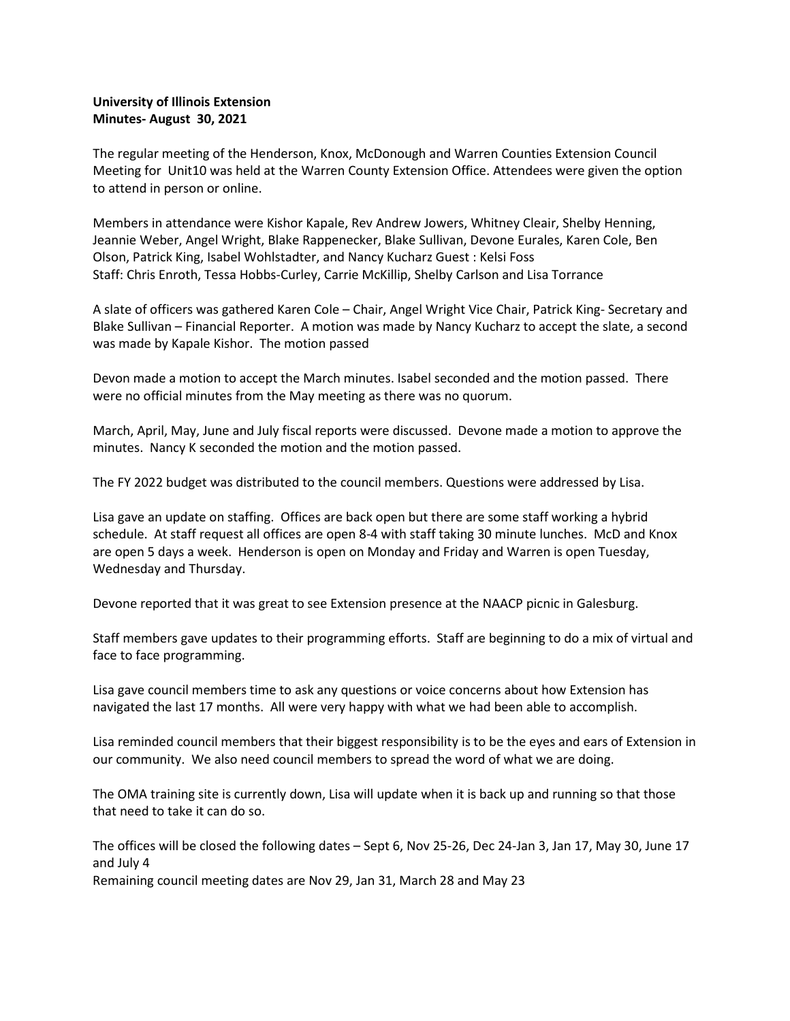## **University of Illinois Extension Minutes- August 30, 2021**

The regular meeting of the Henderson, Knox, McDonough and Warren Counties Extension Council Meeting for Unit10 was held at the Warren County Extension Office. Attendees were given the option to attend in person or online.

Members in attendance were Kishor Kapale, Rev Andrew Jowers, Whitney Cleair, Shelby Henning, Jeannie Weber, Angel Wright, Blake Rappenecker, Blake Sullivan, Devone Eurales, Karen Cole, Ben Olson, Patrick King, Isabel Wohlstadter, and Nancy Kucharz Guest : Kelsi Foss Staff: Chris Enroth, Tessa Hobbs-Curley, Carrie McKillip, Shelby Carlson and Lisa Torrance

A slate of officers was gathered Karen Cole – Chair, Angel Wright Vice Chair, Patrick King- Secretary and Blake Sullivan – Financial Reporter. A motion was made by Nancy Kucharz to accept the slate, a second was made by Kapale Kishor. The motion passed

Devon made a motion to accept the March minutes. Isabel seconded and the motion passed. There were no official minutes from the May meeting as there was no quorum.

March, April, May, June and July fiscal reports were discussed. Devone made a motion to approve the minutes. Nancy K seconded the motion and the motion passed.

The FY 2022 budget was distributed to the council members. Questions were addressed by Lisa.

Lisa gave an update on staffing. Offices are back open but there are some staff working a hybrid schedule. At staff request all offices are open 8-4 with staff taking 30 minute lunches. McD and Knox are open 5 days a week. Henderson is open on Monday and Friday and Warren is open Tuesday, Wednesday and Thursday.

Devone reported that it was great to see Extension presence at the NAACP picnic in Galesburg.

Staff members gave updates to their programming efforts. Staff are beginning to do a mix of virtual and face to face programming.

Lisa gave council members time to ask any questions or voice concerns about how Extension has navigated the last 17 months. All were very happy with what we had been able to accomplish.

Lisa reminded council members that their biggest responsibility is to be the eyes and ears of Extension in our community. We also need council members to spread the word of what we are doing.

The OMA training site is currently down, Lisa will update when it is back up and running so that those that need to take it can do so.

The offices will be closed the following dates – Sept 6, Nov 25-26, Dec 24-Jan 3, Jan 17, May 30, June 17 and July 4

Remaining council meeting dates are Nov 29, Jan 31, March 28 and May 23